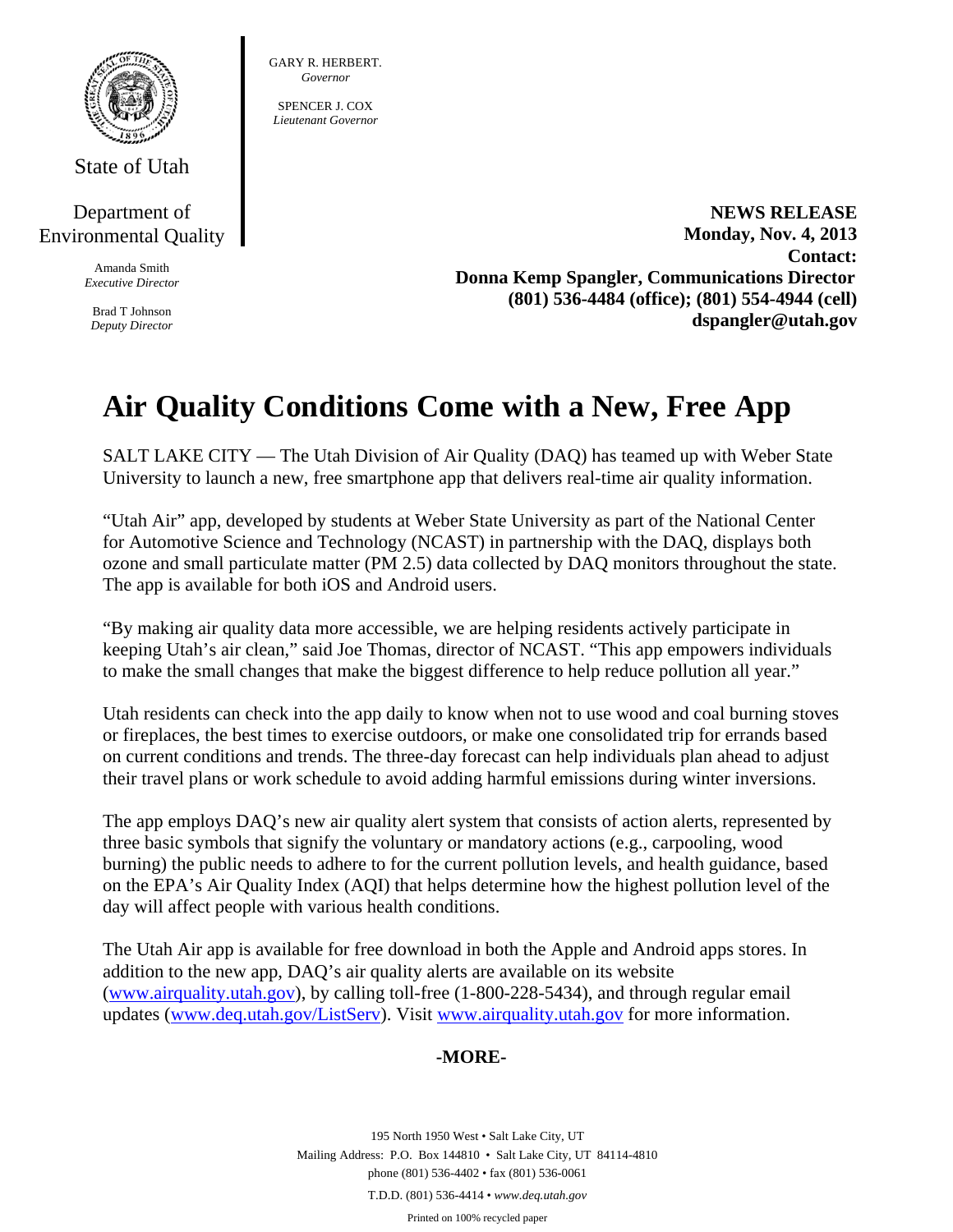

State of Utah

## Department of Environmental Quality

Amanda Smith *Executive Director* 

Brad T Johnson *Deputy Director*  GARY R. HERBERT. *Governor* 

SPENCER J. COX *Lieutenant Governor* 

> **NEWS RELEASE Monday, Nov. 4, 2013 Contact: Donna Kemp Spangler, Communications Director (801) 536-4484 (office); (801) 554-4944 (cell) dspangler@utah.gov**

## **Air Quality Conditions Come with a New, Free App**

SALT LAKE CITY — The Utah Division of Air Quality (DAQ) has teamed up with Weber State University to launch a new, free smartphone app that delivers real-time air quality information.

"Utah Air" app, developed by students at Weber State University as part of the National Center for Automotive Science and Technology (NCAST) in partnership with the DAQ, displays both ozone and small particulate matter (PM 2.5) data collected by DAQ monitors throughout the state. The app is available for both iOS and Android users.

"By making air quality data more accessible, we are helping residents actively participate in keeping Utah's air clean," said Joe Thomas, director of NCAST. "This app empowers individuals to make the small changes that make the biggest difference to help reduce pollution all year."

Utah residents can check into the app daily to know when not to use wood and coal burning stoves or fireplaces, the best times to exercise outdoors, or make one consolidated trip for errands based on current conditions and trends. The three-day forecast can help individuals plan ahead to adjust their travel plans or work schedule to avoid adding harmful emissions during winter inversions.

The app employs DAQ's new air quality alert system that consists of action alerts, represented by three basic symbols that signify the voluntary or mandatory actions (e.g., carpooling, wood burning) the public needs to adhere to for the current pollution levels, and health guidance, based on the EPA's Air Quality Index (AQI) that helps determine how the highest pollution level of the day will affect people with various health conditions.

The Utah Air app is available for free download in both the Apple and Android apps stores. In addition to the new app, DAQ's air quality alerts are available on its website (www.airquality.utah.gov), by calling toll-free (1-800-228-5434), and through regular email updates (www.deq.utah.gov/ListServ). Visit www.airquality.utah.gov for more information.

## **-MORE-**

195 North 1950 West • Salt Lake City, UT Mailing Address: P.O. Box 144810 • Salt Lake City, UT 84114-4810 phone (801) 536-4402 • fax (801) 536-0061 T.D.D. (801) 536-4414 • *www.deq.utah.gov*  Printed on 100% recycled paper